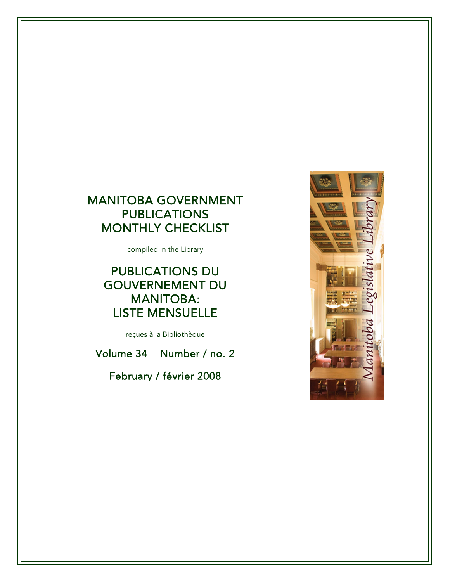# MANITOBA GOVERNMENT **PUBLICATIONS** MONTHLY CHECKLIST

compiled in the Library

# PUBLICATIONS DU GOUVERNEMENT DU MANITOBA: LISTE MENSUELLE

reçues à la Bibliothèque

Volume 34 Number / no. 2

February / février 2008

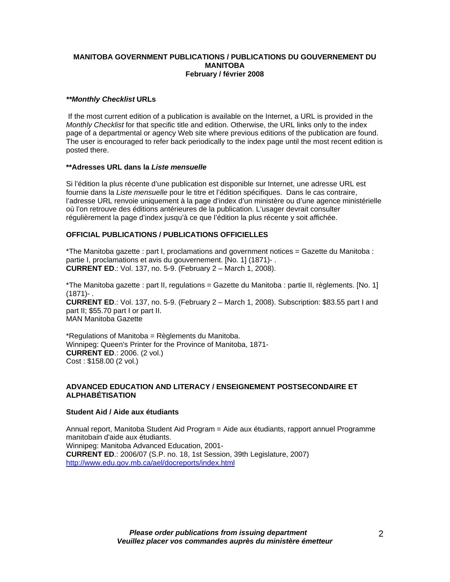## **MANITOBA GOVERNMENT PUBLICATIONS / PUBLICATIONS DU GOUVERNEMENT DU MANITOBA February / février 2008**

# *\*\*Monthly Checklist* **URLs**

 If the most current edition of a publication is available on the Internet, a URL is provided in the *Monthly Checklist* for that specific title and edition. Otherwise, the URL links only to the index page of a departmental or agency Web site where previous editions of the publication are found. The user is encouraged to refer back periodically to the index page until the most recent edition is posted there.

## **\*\*Adresses URL dans la** *Liste mensuelle*

Si l'édition la plus récente d'une publication est disponible sur Internet, une adresse URL est fournie dans la *Liste mensuelle* pour le titre et l'édition spécifiques. Dans le cas contraire, l'adresse URL renvoie uniquement à la page d'index d'un ministère ou d'une agence ministérielle où l'on retrouve des éditions antérieures de la publication. L'usager devrait consulter régulièrement la page d'index jusqu'à ce que l'édition la plus récente y soit affichée.

# **OFFICIAL PUBLICATIONS / PUBLICATIONS OFFICIELLES**

\*The Manitoba gazette : part I, proclamations and government notices = Gazette du Manitoba : partie I, proclamations et avis du gouvernement. [No. 1] (1871)- . **CURRENT ED**.: Vol. 137, no. 5-9. (February 2 – March 1, 2008).

\*The Manitoba gazette : part II, regulations = Gazette du Manitoba : partie II, règlements. [No. 1] (1871)- . **CURRENT ED**.: Vol. 137, no. 5-9. (February 2 – March 1, 2008). Subscription: \$83.55 part I and part II; \$55.70 part I or part II. MAN Manitoba Gazette

\*Regulations of Manitoba = Règlements du Manitoba. Winnipeg: Queen's Printer for the Province of Manitoba, 1871- **CURRENT ED**.: 2006. (2 vol.) Cost : \$158.00 (2 vol.)

# **ADVANCED EDUCATION AND LITERACY / ENSEIGNEMENT POSTSECONDAIRE ET ALPHABÉTISATION**

# **Student Aid / Aide aux étudiants**

Annual report, Manitoba Student Aid Program = Aide aux étudiants, rapport annuel Programme manitobain d'aide aux étudiants. Winnipeg: Manitoba Advanced Education, 2001- **CURRENT ED**.: 2006/07 (S.P. no. 18, 1st Session, 39th Legislature, 2007) <http://www.edu.gov.mb.ca/ael/docreports/index.html>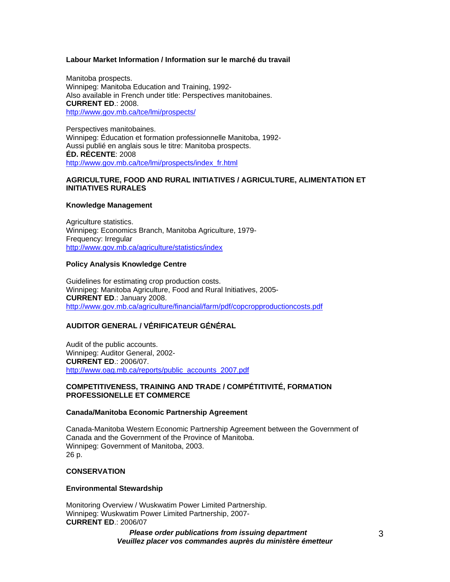## **Labour Market Information / Information sur le march**é **du travail**

Manitoba prospects. Winnipeg: Manitoba Education and Training, 1992- Also available in French under title: Perspectives manitobaines. **CURRENT ED**.: 2008. [http://www.gov.mb.ca/tce/lmi/prospects/](https://www.gov.mb.ca/tce/lmi/prospects/)

Perspectives manitobaines. Winnipeg: Éducation et formation professionnelle Manitoba, 1992- Aussi publié en anglais sous le titre: Manitoba prospects. **ÉD. RÉCENTE**: 2008 [http://www.gov.mb.ca/tce/lmi/prospects/index\\_fr.html](https://www.gov.mb.ca/tce/lmi/prospects/index_fr.html)

## **AGRICULTURE, FOOD AND RURAL INITIATIVES / AGRICULTURE, ALIMENTATION ET INITIATIVES RURALES**

## **Knowledge Management**

Agriculture statistics. Winnipeg: Economics Branch, Manitoba Agriculture, 1979- Frequency: Irregular [http://www.gov.mb.ca/agriculture/statistics/index](https://www.gov.mb.ca/agriculture/statistics/index)

## **Policy Analysis Knowledge Centre**

Guidelines for estimating crop production costs. Winnipeg: Manitoba Agriculture, Food and Rural Initiatives, 2005- **CURRENT ED**.: January 2008. [http://www.gov.mb.ca/agriculture/financial/farm/pdf/copcropproductioncosts.pdf](https://www.gov.mb.ca/agriculture/financial/farm/pdf/copcropproductioncosts.pdf)

# **AUDITOR GENERAL / V**É**RIFICATEUR G**É**N**É**RAL**

Audit of the public accounts. Winnipeg: Auditor General, 2002- **CURRENT ED**.: 2006/07. [http://www.oag.mb.ca/reports/public\\_accounts\\_2007.pdf](http://www.oag.mb.ca/reports/public_accounts_2007.pdf)

## **COMPETITIVENESS, TRAINING AND TRADE / COMPÉTITIVITÉ, FORMATION PROFESSIONELLE ET COMMERCE**

## **Canada/Manitoba Economic Partnership Agreement**

Canada-Manitoba Western Economic Partnership Agreement between the Government of Canada and the Government of the Province of Manitoba. Winnipeg: Government of Manitoba, 2003. 26 p.

## **CONSERVATION**

## **Environmental Stewardship**

Monitoring Overview / Wuskwatim Power Limited Partnership. Winnipeg: Wuskwatim Power Limited Partnership, 2007- **CURRENT ED**.: 2006/07

> *Please order publications from issuing department Veuillez placer vos commandes auprès du ministère émetteur*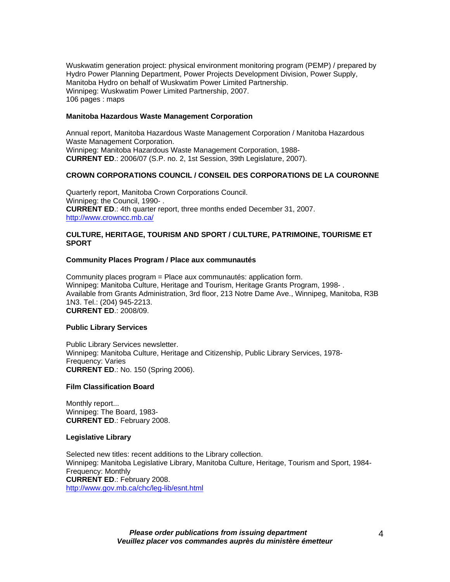Wuskwatim generation project: physical environment monitoring program (PEMP) / prepared by Hydro Power Planning Department, Power Projects Development Division, Power Supply, Manitoba Hydro on behalf of Wuskwatim Power Limited Partnership. Winnipeg: Wuskwatim Power Limited Partnership, 2007. 106 pages : maps

## **Manitoba Hazardous Waste Management Corporation**

Annual report, Manitoba Hazardous Waste Management Corporation / Manitoba Hazardous Waste Management Corporation. Winnipeg: Manitoba Hazardous Waste Management Corporation, 1988- **CURRENT ED**.: 2006/07 (S.P. no. 2, 1st Session, 39th Legislature, 2007).

# **CROWN CORPORATIONS COUNCIL / CONSEIL DES CORPORATIONS DE LA COURONNE**

Quarterly report, Manitoba Crown Corporations Council. Winnipeg: the Council, 1990- . **CURRENT ED**.: 4th quarter report, three months ended December 31, 2007. <http://www.crowncc.mb.ca/>

## **CULTURE, HERITAGE, TOURISM AND SPORT / CULTURE, PATRIMOINE, TOURISME ET SPORT**

## **Community Places Program / Place aux communautés**

Community places program = Place aux communautés: application form. Winnipeg: Manitoba Culture, Heritage and Tourism, Heritage Grants Program, 1998- . Available from Grants Administration, 3rd floor, 213 Notre Dame Ave., Winnipeg, Manitoba, R3B 1N3. Tel.: (204) 945-2213. **CURRENT ED**.: 2008/09.

## **Public Library Services**

Public Library Services newsletter. Winnipeg: Manitoba Culture, Heritage and Citizenship, Public Library Services, 1978- Frequency: Varies **CURRENT ED**.: No. 150 (Spring 2006).

## **Film Classification Board**

Monthly report... Winnipeg: The Board, 1983- **CURRENT ED**.: February 2008.

#### **Legislative Library**

Selected new titles: recent additions to the Library collection. Winnipeg: Manitoba Legislative Library, Manitoba Culture, Heritage, Tourism and Sport, 1984- Frequency: Monthly **CURRENT ED**.: February 2008. [http://www.gov.mb.ca/chc/leg-lib/esnt.html](https://www.gov.mb.ca/chc/leg-lib/esnt.html)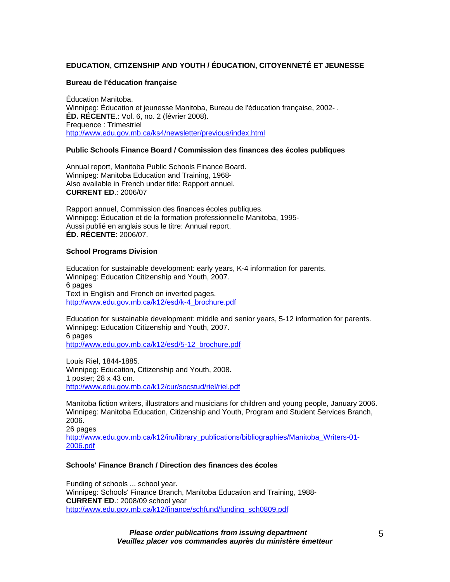# **EDUCATION, CITIZENSHIP AND YOUTH / ÉDUCATION, CITOYENNETÉ ET JEUNESSE**

## **Bureau de l'éducation française**

Éducation Manitoba. Winnipeg: Éducation et jeunesse Manitoba, Bureau de l'éducation française, 2002- . **ÉD. RÉCENTE**.: Vol. 6, no. 2 (février 2008). Frequence : Trimestriel <http://www.edu.gov.mb.ca/ks4/newsletter/previous/index.html>

# **Public Schools Finance Board / Commission des finances des écoles publiques**

Annual report, Manitoba Public Schools Finance Board. Winnipeg: Manitoba Education and Training, 1968- Also available in French under title: Rapport annuel. **CURRENT ED**.: 2006/07

Rapport annuel, Commission des finances écoles publiques. Winnipeg: Éducation et de la formation professionnelle Manitoba, 1995- Aussi publié en anglais sous le titre: Annual report. **ÉD. RÉCENTE**: 2006/07.

## **School Programs Division**

Education for sustainable development: early years, K-4 information for parents. Winnipeg: Education Citizenship and Youth, 2007. 6 pages Text in English and French on inverted pages. [http://www.edu.gov.mb.ca/k12/esd/k-4\\_brochure.pdf](http://www.edu.gov.mb.ca/k12/esd/k-4_brochure.pdf)

Education for sustainable development: middle and senior years, 5-12 information for parents. Winnipeg: Education Citizenship and Youth, 2007. 6 pages [http://www.edu.gov.mb.ca/k12/esd/5-12\\_brochure.pdf](http://www.edu.gov.mb.ca/k12/esd/5-12_brochure.pdf)

Louis Riel, 1844-1885. Winnipeg: Education, Citizenship and Youth, 2008. 1 poster; 28 x 43 cm. <http://www.edu.gov.mb.ca/k12/cur/socstud/riel/riel.pdf>

Manitoba fiction writers, illustrators and musicians for children and young people, January 2006. Winnipeg: Manitoba Education, Citizenship and Youth, Program and Student Services Branch, 2006. 26 pages

[http://www.edu.gov.mb.ca/k12/iru/library\\_publications/bibliographies/Manitoba\\_Writers-01-](http://www.edu.gov.mb.ca/k12/iru/library_publications/bibliographies/Manitoba_Writers-01-2006.pdf) [2006.pdf](http://www.edu.gov.mb.ca/k12/iru/library_publications/bibliographies/Manitoba_Writers-01-2006.pdf)

# **Schools' Finance Branch / Direction des finances des** é**coles**

Funding of schools ... school year. Winnipeg: Schools' Finance Branch, Manitoba Education and Training, 1988- **CURRENT ED**.: 2008/09 school year [http://www.edu.gov.mb.ca/k12/finance/schfund/funding\\_sch0809.pdf](http://www.edu.gov.mb.ca/k12/finance/schfund/funding_sch0809.pdf)

> *Please order publications from issuing department Veuillez placer vos commandes auprès du ministère émetteur*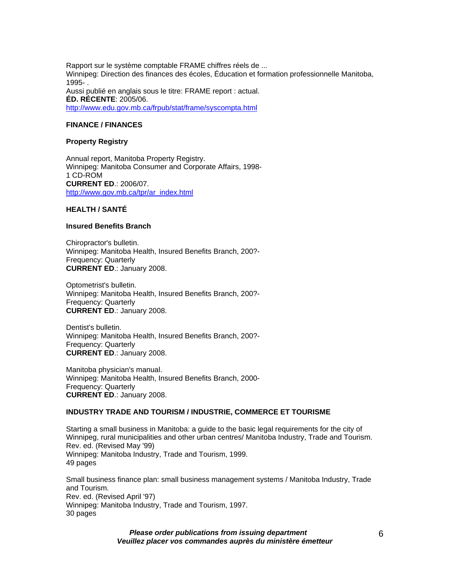Rapport sur le système comptable FRAME chiffres réels de ... Winnipeg: Direction des finances des écoles, Éducation et formation professionnelle Manitoba, 1995- . Aussi publié en anglais sous le titre: FRAME report : actual. **ÉD. RÉCENTE**: 2005/06. <http://www.edu.gov.mb.ca/frpub/stat/frame/syscompta.html>

## **FINANCE / FINANCES**

## **Property Registry**

Annual report, Manitoba Property Registry. Winnipeg: Manitoba Consumer and Corporate Affairs, 1998- 1 CD-ROM **CURRENT ED**.: 2006/07. [http://www.gov.mb.ca/tpr/ar\\_index.html](https://www.gov.mb.ca/tpr/ar_index.html)

# **HEALTH / SANTÉ**

# **Insured Benefits Branch**

Chiropractor's bulletin. Winnipeg: Manitoba Health, Insured Benefits Branch, 200?- Frequency: Quarterly **CURRENT ED**.: January 2008.

Optometrist's bulletin. Winnipeg: Manitoba Health, Insured Benefits Branch, 200?- Frequency: Quarterly **CURRENT ED**.: January 2008.

Dentist's bulletin. Winnipeg: Manitoba Health, Insured Benefits Branch, 200?- Frequency: Quarterly **CURRENT ED**.: January 2008.

Manitoba physician's manual. Winnipeg: Manitoba Health, Insured Benefits Branch, 2000- Frequency: Quarterly **CURRENT ED**.: January 2008.

# **INDUSTRY TRADE AND TOURISM / INDUSTRIE, COMMERCE ET TOURISME**

Starting a small business in Manitoba: a guide to the basic legal requirements for the city of Winnipeg, rural municipalities and other urban centres/ Manitoba Industry, Trade and Tourism. Rev. ed. (Revised May '99) Winnipeg: Manitoba Industry, Trade and Tourism, 1999. 49 pages

Small business finance plan: small business management systems / Manitoba Industry, Trade and Tourism. Rev. ed. (Revised April '97) Winnipeg: Manitoba Industry, Trade and Tourism, 1997. 30 pages

> *Please order publications from issuing department Veuillez placer vos commandes auprès du ministère émetteur*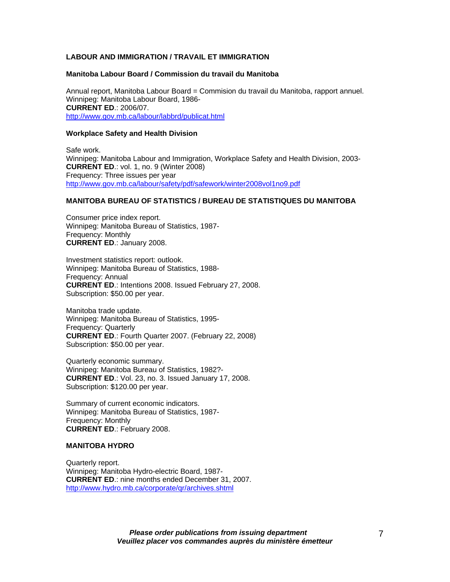# **LABOUR AND IMMIGRATION / TRAVAIL ET IMMIGRATION**

## **Manitoba Labour Board / Commission du travail du Manitoba**

Annual report, Manitoba Labour Board = Commision du travail du Manitoba, rapport annuel. Winnipeg: Manitoba Labour Board, 1986- **CURRENT ED**.: 2006/07. [http://www.gov.mb.ca/labour/labbrd/publicat.html](https://www.gov.mb.ca/labour/labbrd/publicat.html)

# **Workplace Safety and Health Division**

Safe work. Winnipeg: Manitoba Labour and Immigration, Workplace Safety and Health Division, 2003- **CURRENT ED**.: vol. 1, no. 9 (Winter 2008) Frequency: Three issues per year [http://www.gov.mb.ca/labour/safety/pdf/safework/winter2008vol1no9.pdf](https://www.gov.mb.ca/labour/safety/pdf/safework/winter2008vol1no9.pdf)

## **MANITOBA BUREAU OF STATISTICS / BUREAU DE STATISTIQUES DU MANITOBA**

Consumer price index report. Winnipeg: Manitoba Bureau of Statistics, 1987- Frequency: Monthly **CURRENT ED**.: January 2008.

Investment statistics report: outlook. Winnipeg: Manitoba Bureau of Statistics, 1988- Frequency: Annual **CURRENT ED**.: Intentions 2008. Issued February 27, 2008. Subscription: \$50.00 per year.

Manitoba trade update. Winnipeg: Manitoba Bureau of Statistics, 1995- Frequency: Quarterly **CURRENT ED**.: Fourth Quarter 2007. (February 22, 2008) Subscription: \$50.00 per year.

Quarterly economic summary. Winnipeg: Manitoba Bureau of Statistics, 1982?- **CURRENT ED**.: Vol. 23, no. 3. Issued January 17, 2008. Subscription: \$120.00 per year.

Summary of current economic indicators. Winnipeg: Manitoba Bureau of Statistics, 1987- Frequency: Monthly **CURRENT ED**.: February 2008.

#### **MANITOBA HYDRO**

Quarterly report. Winnipeg: Manitoba Hydro-electric Board, 1987- **CURRENT ED**.: nine months ended December 31, 2007. <http://www.hydro.mb.ca/corporate/qr/archives.shtml>